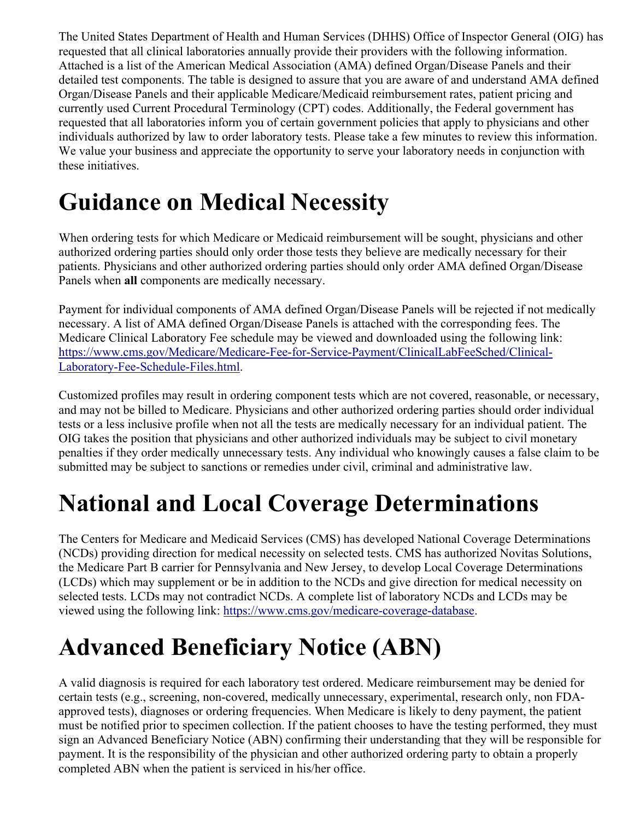The United States Department of Health and Human Services (DHHS) Office of Inspector General (OIG) has requested that all clinical laboratories annually provide their providers with the following information. Attached is a list of the American Medical Association (AMA) defined Organ/Disease Panels and their detailed test components. The table is designed to assure that you are aware of and understand AMA defined Organ/Disease Panels and their applicable Medicare/Medicaid reimbursement rates, patient pricing and currently used Current Procedural Terminology (CPT) codes. Additionally, the Federal government has requested that all laboratories inform you of certain government policies that apply to physicians and other individuals authorized by law to order laboratory tests. Please take a few minutes to review this information. We value your business and appreciate the opportunity to serve your laboratory needs in conjunction with these initiatives.

### **Guidance on Medical Necessity**

When ordering tests for which Medicare or Medicaid reimbursement will be sought, physicians and other authorized ordering parties should only order those tests they believe are medically necessary for their patients. Physicians and other authorized ordering parties should only order AMA defined Organ/Disease Panels when **all** components are medically necessary.

Payment for individual components of AMA defined Organ/Disease Panels will be rejected if not medically necessary. A list of AMA defined Organ/Disease Panels is attached with the corresponding fees. The Medicare Clinical Laboratory Fee schedule may be viewed and downloaded using the following link: [https://www.cms.gov/Medicare/Medicare-Fee-for-Service-Payment/ClinicalLabFeeSched/Clinical-](https://www.cms.gov/Medicare/Medicare-Fee-for-Service-Payment/ClinicalLabFeeSched/Clinical-Laboratory-Fee-Schedule-Files.html)[Laboratory-Fee-Schedule-Files.html.](https://www.cms.gov/Medicare/Medicare-Fee-for-Service-Payment/ClinicalLabFeeSched/Clinical-Laboratory-Fee-Schedule-Files.html)

Customized profiles may result in ordering component tests which are not covered, reasonable, or necessary, and may not be billed to Medicare. Physicians and other authorized ordering parties should order individual tests or a less inclusive profile when not all the tests are medically necessary for an individual patient. The OIG takes the position that physicians and other authorized individuals may be subject to civil monetary penalties if they order medically unnecessary tests. Any individual who knowingly causes a false claim to be submitted may be subject to sanctions or remedies under civil, criminal and administrative law.

### **National and Local Coverage Determinations**

The Centers for Medicare and Medicaid Services (CMS) has developed National Coverage Determinations (NCDs) providing direction for medical necessity on selected tests. CMS has authorized Novitas Solutions, the Medicare Part B carrier for Pennsylvania and New Jersey, to develop Local Coverage Determinations (LCDs) which may supplement or be in addition to the NCDs and give direction for medical necessity on selected tests. LCDs may not contradict NCDs. A complete list of laboratory NCDs and LCDs may be viewed using the following link: [https://www.cms.gov/medicare-coverage-database.](https://www.cms.gov/medicare-coverage-database)

# **Advanced Beneficiary Notice (ABN)**

A valid diagnosis is required for each laboratory test ordered. Medicare reimbursement may be denied for certain tests (e.g., screening, non-covered, medically unnecessary, experimental, research only, non FDAapproved tests), diagnoses or ordering frequencies. When Medicare is likely to deny payment, the patient must be notified prior to specimen collection. If the patient chooses to have the testing performed, they must sign an Advanced Beneficiary Notice (ABN) confirming their understanding that they will be responsible for payment. It is the responsibility of the physician and other authorized ordering party to obtain a properly completed ABN when the patient is serviced in his/her office.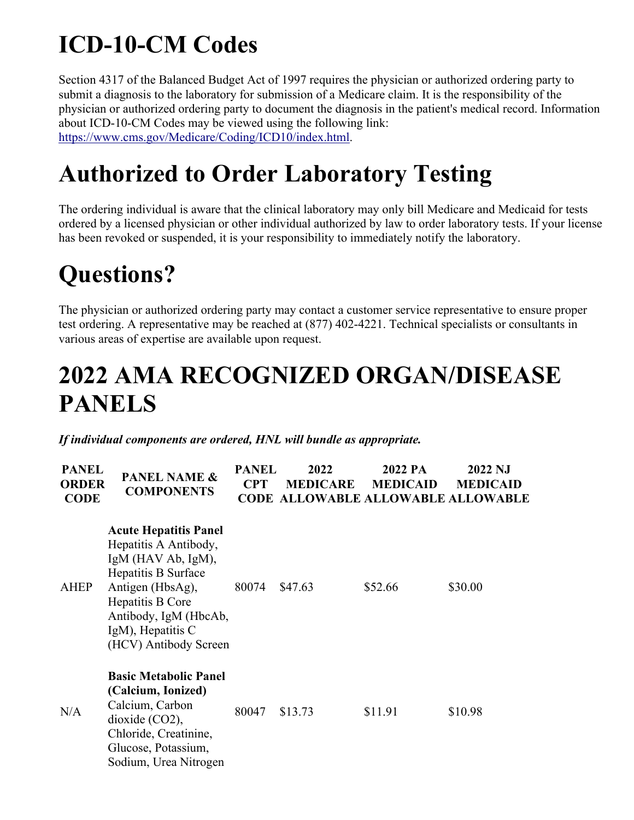# **ICD-10-CM Codes**

Section 4317 of the Balanced Budget Act of 1997 requires the physician or authorized ordering party to submit a diagnosis to the laboratory for submission of a Medicare claim. It is the responsibility of the physician or authorized ordering party to document the diagnosis in the patient's medical record. Information about ICD-10-CM Codes may be viewed using the following link: [https://www.cms.gov/Medicare/Coding/ICD10/index.html.](https://www.cms.gov/Medicare/Coding/ICD10/index.html)

#### **Authorized to Order Laboratory Testing**

The ordering individual is aware that the clinical laboratory may only bill Medicare and Medicaid for tests ordered by a licensed physician or other individual authorized by law to order laboratory tests. If your license has been revoked or suspended, it is your responsibility to immediately notify the laboratory.

### **Questions?**

The physician or authorized ordering party may contact a customer service representative to ensure proper test ordering. A representative may be reached at (877) 402-4221. Technical specialists or consultants in various areas of expertise are available upon request.

#### **2022 AMA RECOGNIZED ORGAN/DISEASE PANELS**

*If individual components are ordered, HNL will bundle as appropriate.* 

| <b>PANEL</b><br><b>ORDER</b><br><b>CODE</b> | <b>PANEL NAME &amp;</b><br><b>COMPONENTS</b>                                                                                                                                                                           | <b>PANEL</b><br><b>CPT</b><br><b>CODE</b> | 2022<br><b>MEDICARE</b> | 2022 PA<br><b>MEDICAID</b> | 2022 NJ<br><b>MEDICAID</b><br><b>ALLOWABLE ALLOWABLE ALLOWABLE</b> |
|---------------------------------------------|------------------------------------------------------------------------------------------------------------------------------------------------------------------------------------------------------------------------|-------------------------------------------|-------------------------|----------------------------|--------------------------------------------------------------------|
| <b>AHEP</b>                                 | <b>Acute Hepatitis Panel</b><br>Hepatitis A Antibody,<br>$IgM$ (HAV Ab, $IgM$ ),<br>Hepatitis B Surface<br>Antigen (HbsAg),<br>Hepatitis B Core<br>Antibody, IgM (HbcAb,<br>IgM), Hepatitis C<br>(HCV) Antibody Screen | 80074                                     | \$47.63                 | \$52.66                    | \$30.00                                                            |
| N/A                                         | <b>Basic Metabolic Panel</b><br>(Calcium, Ionized)<br>Calcium, Carbon<br>dioxide (CO2),<br>Chloride, Creatinine,<br>Glucose, Potassium,<br>Sodium, Urea Nitrogen                                                       | 80047                                     | \$13.73                 | \$11.91                    | \$10.98                                                            |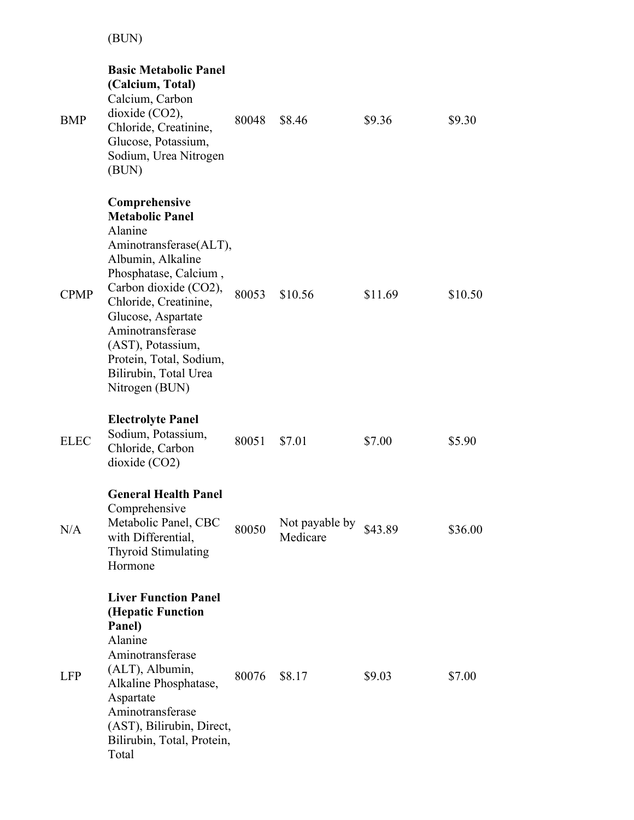(BUN)

| BMP         | <b>Basic Metabolic Panel</b><br>(Calcium, Total)<br>Calcium, Carbon<br>dioxide (CO2),<br>Chloride, Creatinine,<br>Glucose, Potassium,<br>Sodium, Urea Nitrogen<br>(BUN)                                                                                                                                           | 80048 | \$8.46                     | \$9.36  | \$9.30  |
|-------------|-------------------------------------------------------------------------------------------------------------------------------------------------------------------------------------------------------------------------------------------------------------------------------------------------------------------|-------|----------------------------|---------|---------|
| <b>CPMP</b> | Comprehensive<br><b>Metabolic Panel</b><br>Alanine<br>Aminotransferase(ALT),<br>Albumin, Alkaline<br>Phosphatase, Calcium,<br>Carbon dioxide (CO2),<br>Chloride, Creatinine,<br>Glucose, Aspartate<br>Aminotransferase<br>(AST), Potassium,<br>Protein, Total, Sodium,<br>Bilirubin, Total Urea<br>Nitrogen (BUN) | 80053 | \$10.56                    | \$11.69 | \$10.50 |
| <b>ELEC</b> | <b>Electrolyte Panel</b><br>Sodium, Potassium,<br>Chloride, Carbon<br>dioxide (CO2)                                                                                                                                                                                                                               | 80051 | \$7.01                     | \$7.00  | \$5.90  |
| N/A         | <b>General Health Panel</b><br>Comprehensive<br>Metabolic Panel, CBC<br>with Differential,<br><b>Thyroid Stimulating</b><br>Hormone                                                                                                                                                                               | 80050 | Not payable by<br>Medicare | \$43.89 | \$36.00 |
| <b>LFP</b>  | <b>Liver Function Panel</b><br>(Hepatic Function<br>Panel)<br>Alanine<br>Aminotransferase<br>(ALT), Albumin,<br>Alkaline Phosphatase,<br>Aspartate<br>Aminotransferase<br>(AST), Bilirubin, Direct,<br>Bilirubin, Total, Protein,<br>Total                                                                        | 80076 | \$8.17                     | \$9.03  | \$7.00  |